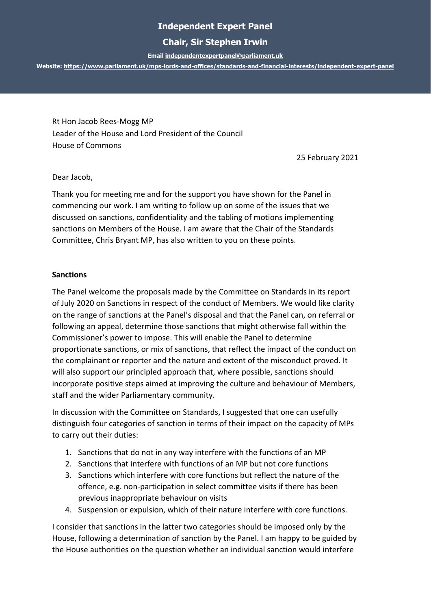# **Independent Expert Panel**

## **Chair, Sir Stephen Irwin**

**Emai[l independentexpertpanel@parliament.uk](mailto:independentexpertpanel@parliament.uk)**

**Website:<https://www.parliament.uk/mps-lords-and-offices/standards-and-financial-interests/independent-expert-panel>**

Rt Hon Jacob Rees-Mogg MP Leader of the House and Lord President of the Council House of Commons

25 February 2021

Dear Jacob,

Thank you for meeting me and for the support you have shown for the Panel in commencing our work. I am writing to follow up on some of the issues that we discussed on sanctions, confidentiality and the tabling of motions implementing sanctions on Members of the House. I am aware that the Chair of the Standards Committee, Chris Bryant MP, has also written to you on these points.

#### **Sanctions**

The Panel welcome the proposals made by the Committee on Standards in its report of July 2020 on Sanctions in respect of the conduct of Members. We would like clarity on the range of sanctions at the Panel's disposal and that the Panel can, on referral or following an appeal, determine those sanctions that might otherwise fall within the Commissioner's power to impose. This will enable the Panel to determine proportionate sanctions, or mix of sanctions, that reflect the impact of the conduct on the complainant or reporter and the nature and extent of the misconduct proved. It will also support our principled approach that, where possible, sanctions should incorporate positive steps aimed at improving the culture and behaviour of Members, staff and the wider Parliamentary community.

In discussion with the Committee on Standards, I suggested that one can usefully distinguish four categories of sanction in terms of their impact on the capacity of MPs to carry out their duties:

- 1. Sanctions that do not in any way interfere with the functions of an MP
- 2. Sanctions that interfere with functions of an MP but not core functions
- 3. Sanctions which interfere with core functions but reflect the nature of the offence, e.g. non-participation in select committee visits if there has been previous inappropriate behaviour on visits
- 4. Suspension or expulsion, which of their nature interfere with core functions.

I consider that sanctions in the latter two categories should be imposed only by the House, following a determination of sanction by the Panel. I am happy to be guided by the House authorities on the question whether an individual sanction would interfere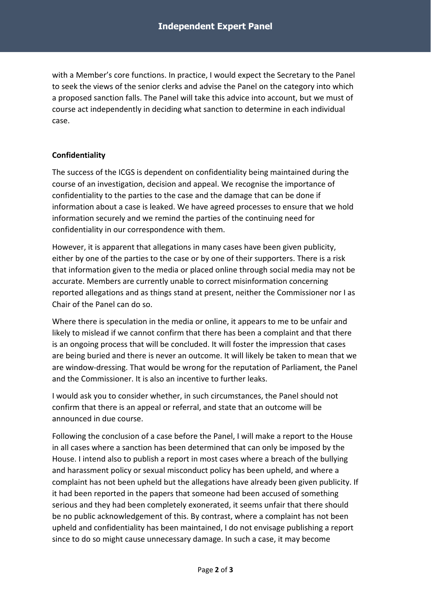with a Member's core functions. In practice, I would expect the Secretary to the Panel to seek the views of the senior clerks and advise the Panel on the category into which a proposed sanction falls. The Panel will take this advice into account, but we must of course act independently in deciding what sanction to determine in each individual case.

### **Confidentiality**

The success of the ICGS is dependent on confidentiality being maintained during the course of an investigation, decision and appeal. We recognise the importance of confidentiality to the parties to the case and the damage that can be done if information about a case is leaked. We have agreed processes to ensure that we hold information securely and we remind the parties of the continuing need for confidentiality in our correspondence with them.

However, it is apparent that allegations in many cases have been given publicity, either by one of the parties to the case or by one of their supporters. There is a risk that information given to the media or placed online through social media may not be accurate. Members are currently unable to correct misinformation concerning reported allegations and as things stand at present, neither the Commissioner nor I as Chair of the Panel can do so.

Where there is speculation in the media or online, it appears to me to be unfair and likely to mislead if we cannot confirm that there has been a complaint and that there is an ongoing process that will be concluded. It will foster the impression that cases are being buried and there is never an outcome. It will likely be taken to mean that we are window-dressing. That would be wrong for the reputation of Parliament, the Panel and the Commissioner. It is also an incentive to further leaks.

I would ask you to consider whether, in such circumstances, the Panel should not confirm that there is an appeal or referral, and state that an outcome will be announced in due course.

Following the conclusion of a case before the Panel, I will make a report to the House in all cases where a sanction has been determined that can only be imposed by the House. I intend also to publish a report in most cases where a breach of the bullying and harassment policy or sexual misconduct policy has been upheld, and where a complaint has not been upheld but the allegations have already been given publicity. If it had been reported in the papers that someone had been accused of something serious and they had been completely exonerated, it seems unfair that there should be no public acknowledgement of this. By contrast, where a complaint has not been upheld and confidentiality has been maintained, I do not envisage publishing a report since to do so might cause unnecessary damage. In such a case, it may become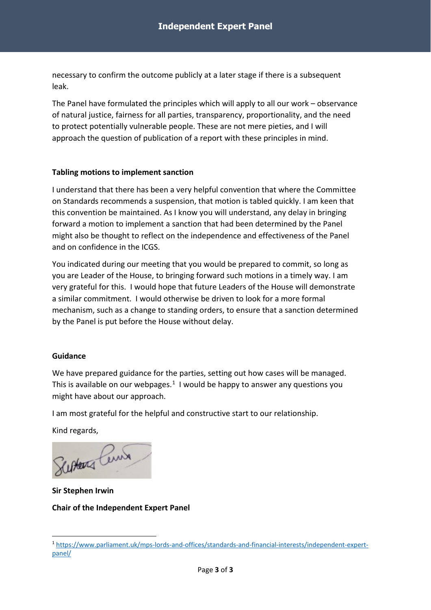necessary to confirm the outcome publicly at a later stage if there is a subsequent leak.

The Panel have formulated the principles which will apply to all our work – observance of natural justice, fairness for all parties, transparency, proportionality, and the need to protect potentially vulnerable people. These are not mere pieties, and I will approach the question of publication of a report with these principles in mind.

#### **Tabling motions to implement sanction**

I understand that there has been a very helpful convention that where the Committee on Standards recommends a suspension, that motion is tabled quickly. I am keen that this convention be maintained. As I know you will understand, any delay in bringing forward a motion to implement a sanction that had been determined by the Panel might also be thought to reflect on the independence and effectiveness of the Panel and on confidence in the ICGS.

You indicated during our meeting that you would be prepared to commit, so long as you are Leader of the House, to bringing forward such motions in a timely way. I am very grateful for this. I would hope that future Leaders of the House will demonstrate a similar commitment. I would otherwise be driven to look for a more formal mechanism, such as a change to standing orders, to ensure that a sanction determined by the Panel is put before the House without delay.

#### **Guidance**

We have prepared guidance for the parties, setting out how cases will be managed. This is available on our webpages.<sup>[1](#page-2-0)</sup> I would be happy to answer any questions you might have about our approach.

I am most grateful for the helpful and constructive start to our relationship.

Kind regards,

Susters Pers

**Sir Stephen Irwin Chair of the Independent Expert Panel**

<span id="page-2-0"></span><sup>1</sup> [https://www.parliament.uk/mps-lords-and-offices/standards-and-financial-interests/independent-expert](https://www.parliament.uk/mps-lords-and-offices/standards-and-financial-interests/independent-expert-panel/)[panel/](https://www.parliament.uk/mps-lords-and-offices/standards-and-financial-interests/independent-expert-panel/)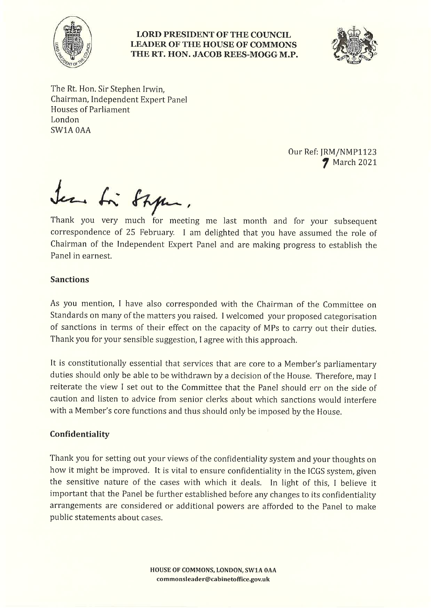

#### **LORD PRESIDENT OF THE COUNCIL LEADER OF THE HOUSE OF COMMONS** THE RT. HON. JACOB REES-MOGG M.P.



The Rt. Hon. Sir Stephen Irwin, Chairman, Independent Expert Panel Houses of Parliament London SW1A 0AA

> Our Ref: JRM/NMP1123 **7** March 2021

Sen to Style.

Thank you very much for meeting me last month and for your subsequent correspondence of 25 February. I am delighted that you have assumed the role of Chairman of the Independent Expert Panel and are making progress to establish the Panel in earnest.

### **Sanctions**

As you mention, I have also corresponded with the Chairman of the Committee on Standards on many of the matters you raised. I welcomed your proposed categorisation of sanctions in terms of their effect on the capacity of MPs to carry out their duties. Thank you for your sensible suggestion, I agree with this approach.

It is constitutionally essential that services that are core to a Member's parliamentary duties should only be able to be withdrawn by a decision of the House. Therefore, may I reiterate the view I set out to the Committee that the Panel should err on the side of caution and listen to advice from senior clerks about which sanctions would interfere with a Member's core functions and thus should only be imposed by the House.

# Confidentiality

Thank you for setting out your views of the confidentiality system and your thoughts on how it might be improved. It is vital to ensure confidentiality in the ICGS system, given the sensitive nature of the cases with which it deals. In light of this, I believe it important that the Panel be further established before any changes to its confidentiality arrangements are considered or additional powers are afforded to the Panel to make public statements about cases.